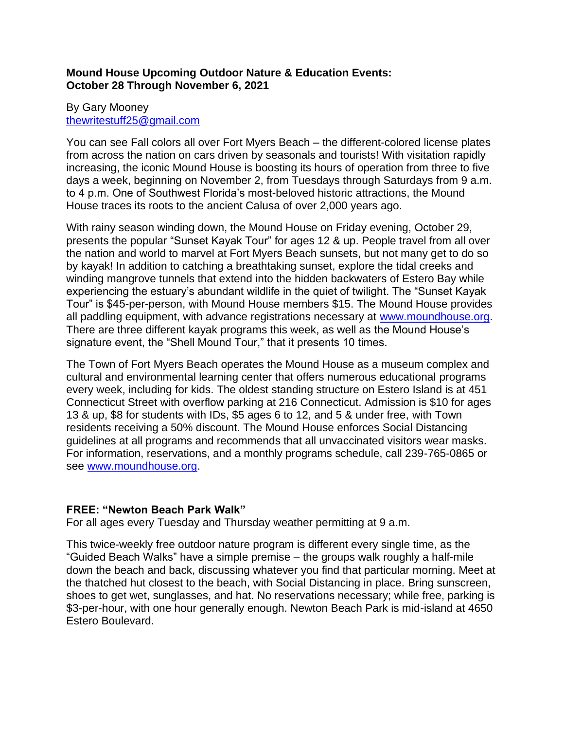## **Mound House Upcoming Outdoor Nature & Education Events: October 28 Through November 6, 2021**

## By Gary Mooney [thewritestuff25@gmail.com](mailto:thewritestuff25@gmail.com)

You can see Fall colors all over Fort Myers Beach – the different-colored license plates from across the nation on cars driven by seasonals and tourists! With visitation rapidly increasing, the iconic Mound House is boosting its hours of operation from three to five days a week, beginning on November 2, from Tuesdays through Saturdays from 9 a.m. to 4 p.m. One of Southwest Florida's most-beloved historic attractions, the Mound House traces its roots to the ancient Calusa of over 2,000 years ago.

With rainy season winding down, the Mound House on Friday evening, October 29, presents the popular "Sunset Kayak Tour" for ages 12 & up. People travel from all over the nation and world to marvel at Fort Myers Beach sunsets, but not many get to do so by kayak! In addition to catching a breathtaking sunset, explore the tidal creeks and winding mangrove tunnels that extend into the hidden backwaters of Estero Bay while experiencing the estuary's abundant wildlife in the quiet of twilight. The "Sunset Kayak Tour" is \$45-per-person, with Mound House members \$15. The Mound House provides all paddling equipment, with advance registrations necessary at [www.moundhouse.org.](http://www.moundhouse.org/) There are three different kayak programs this week, as well as the Mound House's signature event, the "Shell Mound Tour," that it presents 10 times.

The Town of Fort Myers Beach operates the Mound House as a museum complex and cultural and environmental learning center that offers numerous educational programs every week, including for kids. The oldest standing structure on Estero Island is at 451 Connecticut Street with overflow parking at 216 Connecticut. Admission is \$10 for ages 13 & up, \$8 for students with IDs, \$5 ages 6 to 12, and 5 & under free, with Town residents receiving a 50% discount. The Mound House enforces Social Distancing guidelines at all programs and recommends that all unvaccinated visitors wear masks. For information, reservations, and a monthly programs schedule, call 239-765-0865 or see [www.moundhouse.org.](http://www.moundhouse.org/)

# **FREE: "Newton Beach Park Walk"**

For all ages every Tuesday and Thursday weather permitting at 9 a.m.

This twice-weekly free outdoor nature program is different every single time, as the "Guided Beach Walks" have a simple premise – the groups walk roughly a half-mile down the beach and back, discussing whatever you find that particular morning. Meet at the thatched hut closest to the beach, with Social Distancing in place. Bring sunscreen, shoes to get wet, sunglasses, and hat. No reservations necessary; while free, parking is \$3-per-hour, with one hour generally enough. Newton Beach Park is mid-island at 4650 Estero Boulevard.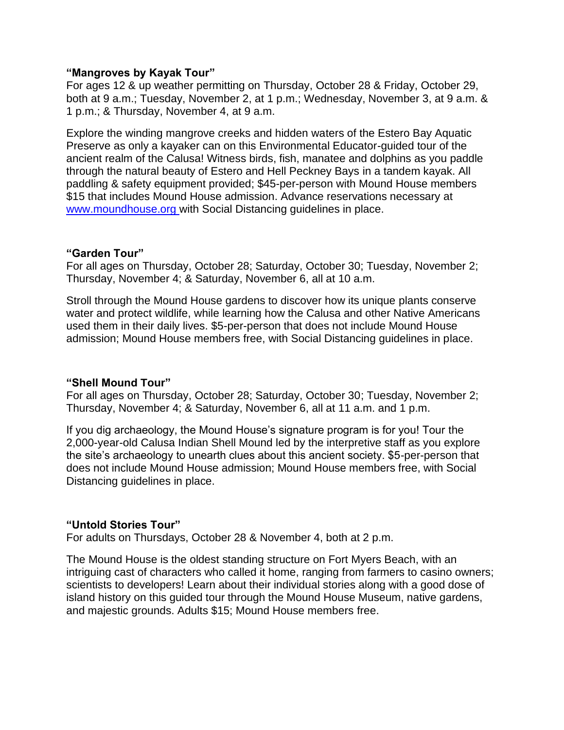#### **"Mangroves by Kayak Tour"**

For ages 12 & up weather permitting on Thursday, October 28 & Friday, October 29, both at 9 a.m.; Tuesday, November 2, at 1 p.m.; Wednesday, November 3, at 9 a.m. & 1 p.m.; & Thursday, November 4, at 9 a.m.

Explore the winding mangrove creeks and hidden waters of the Estero Bay Aquatic Preserve as only a kayaker can on this Environmental Educator-guided tour of the ancient realm of the Calusa! Witness birds, fish, manatee and dolphins as you paddle through the natural beauty of Estero and Hell Peckney Bays in a tandem kayak. All paddling & safety equipment provided; \$45-per-person with Mound House members \$15 that includes Mound House admission. Advance reservations necessary at [www.moundhouse.org](http://www.moundhouse.org/) with Social Distancing guidelines in place.

#### **"Garden Tour"**

For all ages on Thursday, October 28; Saturday, October 30; Tuesday, November 2; Thursday, November 4; & Saturday, November 6, all at 10 a.m.

Stroll through the Mound House gardens to discover how its unique plants conserve water and protect wildlife, while learning how the Calusa and other Native Americans used them in their daily lives. \$5-per-person that does not include Mound House admission; Mound House members free, with Social Distancing guidelines in place.

### **"Shell Mound Tour"**

For all ages on Thursday, October 28; Saturday, October 30; Tuesday, November 2; Thursday, November 4; & Saturday, November 6, all at 11 a.m. and 1 p.m.

If you dig archaeology, the Mound House's signature program is for you! Tour the 2,000-year-old Calusa Indian Shell Mound led by the interpretive staff as you explore the site's archaeology to unearth clues about this ancient society. \$5-per-person that does not include Mound House admission; Mound House members free, with Social Distancing guidelines in place.

### **"Untold Stories Tour"**

For adults on Thursdays, October 28 & November 4, both at 2 p.m.

The Mound House is the oldest standing structure on Fort Myers Beach, with an intriguing cast of characters who called it home, ranging from farmers to casino owners; scientists to developers! Learn about their individual stories along with a good dose of island history on this guided tour through the Mound House Museum, native gardens, and majestic grounds. Adults \$15; Mound House members free.